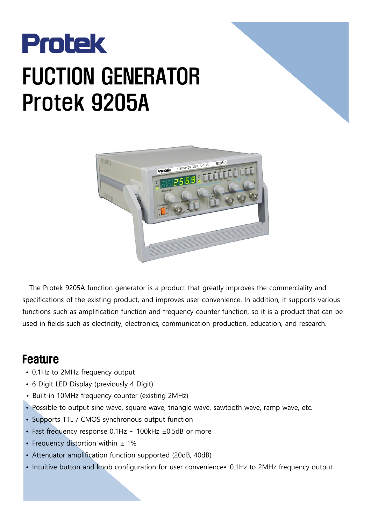

## FUCTION GENERATOR Protek 9205A



The Protek 9205A function generator is a product that greatly improves the commerciality and specifications of the existing product, and improves user convenience. In addition, it supports various functions such as amplification function and frequency counter function, so it is a product that can be used in fields such as electricity, electronics, communication production, education, and research.

## Feature

- 0.1Hz to 2MHz frequency output
- 6 Digit LED Display (previously 4 Digit)
- Built-in 10MHz frequency counter (existing 2MHz)
- Possible to output sine wave, square wave, triangle wave, sawtooth wave, ramp wave, etc.
- Supports TTL / CMOS synchronous output function
- Fast frequency response  $0.1$ Hz  $\sim$  100kHz  $\pm$ 0.5dB or more
- Frequency distortion within  $\pm$  1%
- Attenuator amplification function supported (20dB, 40dB)
- Intuitive button and knob configuration for user convenience• 0.1Hz to 2MHz frequency output